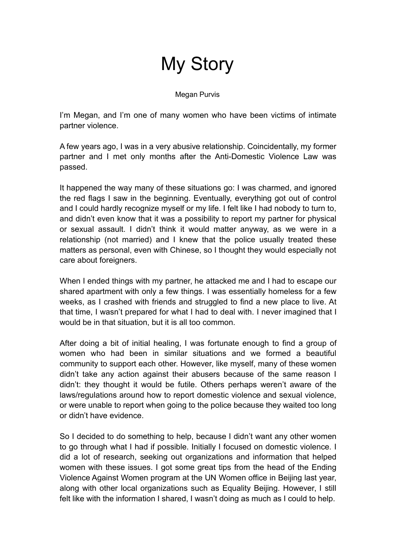## My Story

## Megan Purvis

I'm Megan, and I'm one of many women who have been victims of intimate partner violence.

A few years ago, I was in a very abusive relationship. Coincidentally, my former partner and I met only months after the Anti-Domestic Violence Law was passed.

It happened the way many of these situations go: I was charmed, and ignored the red flags I saw in the beginning. Eventually, everything got out of control and I could hardly recognize myself or my life. I felt like I had nobody to turn to, and didn't even know that it was a possibility to report my partner for physical or sexual assault. I didn't think it would matter anyway, as we were in a relationship (not married) and I knew that the police usually treated these matters as personal, even with Chinese, so I thought they would especially not care about foreigners.

When I ended things with my partner, he attacked me and I had to escape our shared apartment with only a few things. I was essentially homeless for a few weeks, as I crashed with friends and struggled to find a new place to live. At that time, I wasn't prepared for what I had to deal with. I never imagined that I would be in that situation, but it is all too common.

After doing a bit of initial healing, I was fortunate enough to find a group of women who had been in similar situations and we formed a beautiful community to support each other. However, like myself, many of these women didn't take any action against their abusers because of the same reason I didn't: they thought it would be futile. Others perhaps weren't aware of the laws/regulations around how to report domestic violence and sexual violence, or were unable to report when going to the police because they waited too long or didn't have evidence.

So I decided to do something to help, because I didn't want any other women to go through what I had if possible. Initially I focused on domestic violence. I did a lot of research, seeking out organizations and information that helped women with these issues. I got some great tips from the head of the Ending Violence Against Women program at the UN Women office in Beijing last year, along with other local organizations such as Equality Beijing. However, I still felt like with the information I shared, I wasn't doing as much as I could to help.